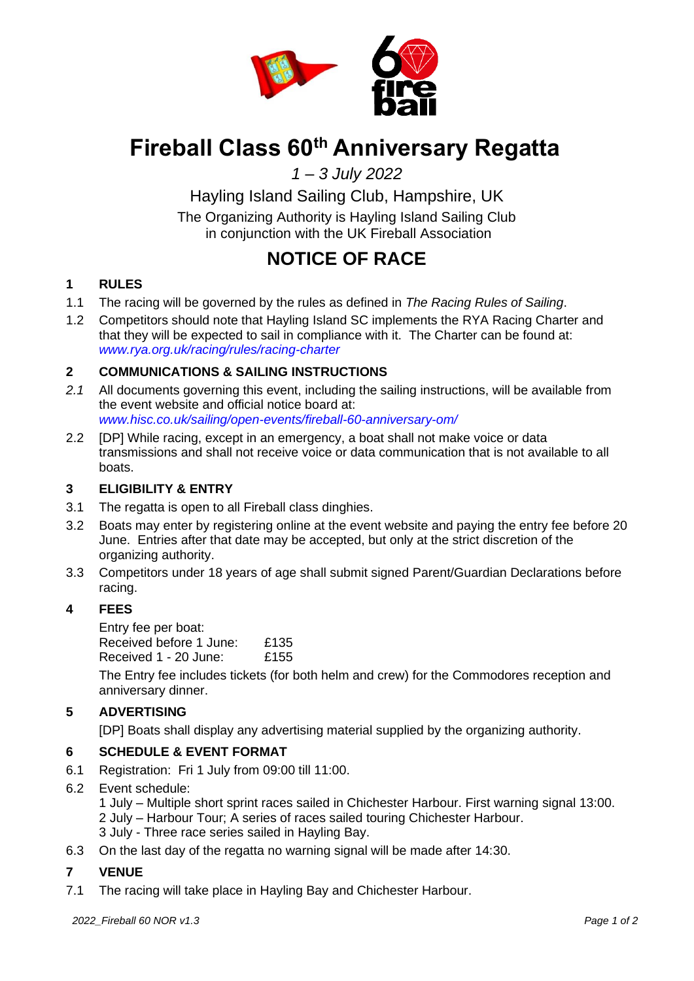

# **Fireball Class 60th Anniversary Regatta**

*1 – 3 July 2022*

Hayling Island Sailing Club, Hampshire, UK The Organizing Authority is Hayling Island Sailing Club in conjunction with the UK Fireball Association

# **NOTICE OF RACE**

# **1 RULES**

- 1.1 The racing will be governed by the rules as defined in *The Racing Rules of Sailing*.
- 1.2 Competitors should note that Hayling Island SC implements the RYA Racing Charter and that they will be expected to sail in compliance with it. The Charter can be found at: *[www.rya.org.uk/racing/rules/racing-charter](http://www.rya.org.uk/racing/rules/racing-charter)*

# **2 COMMUNICATIONS & SAILING INSTRUCTIONS**

- *2.1* All documents governing this event, including the sailing instructions, will be available from the event website and official notice board at: *[www.hisc.co.uk/sailing/open-events/fireball-60-anniversary-om/](http://www.hisc.co.uk/sailing/open-events/fireball-60-anniversary-om/)*
- 2.2 [DP] While racing, except in an emergency, a boat shall not make voice or data transmissions and shall not receive voice or data communication that is not available to all boats.

#### **3 ELIGIBILITY & ENTRY**

- 3.1 The regatta is open to all Fireball class dinghies.
- 3.2 Boats may enter by registering online at the event website and paying the entry fee before 20 June. Entries after that date may be accepted, but only at the strict discretion of the organizing authority.
- 3.3 Competitors under 18 years of age shall submit signed Parent/Guardian Declarations before racing.

# **4 FEES**

Entry fee per boat: Received before 1 June: £135 Received 1 - 20 June: £155

The Entry fee includes tickets (for both helm and crew) for the Commodores reception and anniversary dinner.

# **5 ADVERTISING**

[DP] Boats shall display any advertising material supplied by the organizing authority.

#### **6 SCHEDULE & EVENT FORMAT**

- 6.1 Registration: Fri 1 July from 09:00 till 11:00.
- 6.2 Event schedule:

1 July – Multiple short sprint races sailed in Chichester Harbour. First warning signal 13:00. 2 July – Harbour Tour; A series of races sailed touring Chichester Harbour. 3 July - Three race series sailed in Hayling Bay.

6.3 On the last day of the regatta no warning signal will be made after 14:30.

# **7 VENUE**

7.1 The racing will take place in Hayling Bay and Chichester Harbour.